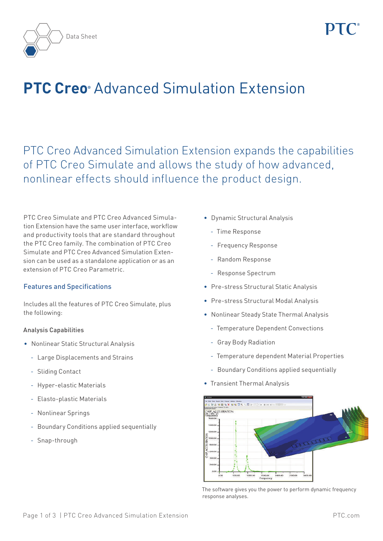



# **PTC Creo®** Advanced Simulation Extension

PTC Creo Advanced Simulation Extension expands the capabilities of PTC Creo Simulate and allows the study of how advanced, nonlinear effects should influence the product design.

PTC Creo Simulate and PTC Creo Advanced Simulation Extension have the same user interface, workflow and productivity tools that are standard throughout the PTC Creo family. The combination of PTC Creo Simulate and PTC Creo Advanced Simulation Extension can be used as a standalone application or as an extension of PTC Creo Parametric.

## Features and Specifications

Includes all the features of PTC Creo Simulate, plus the following:

## Analysis Capabilities

- • Nonlinear Static Structural Analysis
	- Large Displacements and Strains
	- Sliding Contact
	- Hyper-elastic Materials
	- Elasto-plastic Materials
	- Nonlinear Springs
	- Boundary Conditions applied sequentially
	- Snap-through
- • Dynamic Structural Analysis
	- Time Response
	- Frequency Response
	- Random Response
	- Response Spectrum
- • Pre-stress Structural Static Analysis
- • Pre-stress Structural Modal Analysis
- • Nonlinear Steady State Thermal Analysis
	- Temperature Dependent Convections
	- Gray Body Radiation
	- Temperature dependent Material Properties
	- Boundary Conditions applied sequentially
- Transient Thermal Analysis



The software gives you the power to perform dynamic frequency response analyses.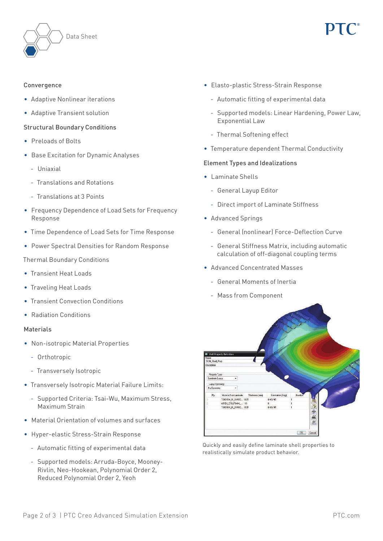



## Convergence

- • Adaptive Nonlinear iterations
- • Adaptive Transient solution

### Structural Boundary Conditions

- • Preloads of Bolts
- • Base Excitation for Dynamic Analyses
	- Uniaxial
	- Translations and Rotations
	- Translations at 3 Points
- Frequency Dependence of Load Sets for Frequency Response
- Time Dependence of Load Sets for Time Response
- • Power Spectral Densities for Random Response

### Thermal Boundary Conditions

- Transient Heat Loads
- Traveling Heat Loads
- Transient Convection Conditions
- Radiation Conditions

### Materials

- Non-isotropic Material Properties
	- Orthotropic
	- Transversely Isotropic
- Transversely Isotropic Material Failure Limits:
	- Supported Criteria: Tsai-Wu, Maximum Stress, Maximum Strain
- • Material Orientation of volumes and surfaces
- • Hyper-elastic Stress-Strain Response
	- Automatic fitting of experimental data
	- Supported models: Arruda-Boyce, Mooney-Rivlin, Neo-Hookean, Polynomial Order 2, Reduced Polynomial Order 2, Yeoh
- • Elasto-plastic Stress-Strain Response
	- Automatic fitting of experimental data
	- Supported models: Linear Hardening, Power Law, Exponential Law
	- Thermal Softening effect
- • Temperature dependent Thermal Conductivity

### Element Types and Idealizations

- • Laminate Shells
	- General Layup Editor
	- Direct import of Laminate Stiffness
- • Advanced Springs
	- General (nonlinear) Force-Deflection Curve
	- General Stiffness Matrix, including automatic calculation of off-diagonal coupling terms
- Advanced Concentrated Masses
	- General Moments of Inertia
	- Mass from Component



Quickly and easily define laminate shell properties to realistically simulate product behavior.